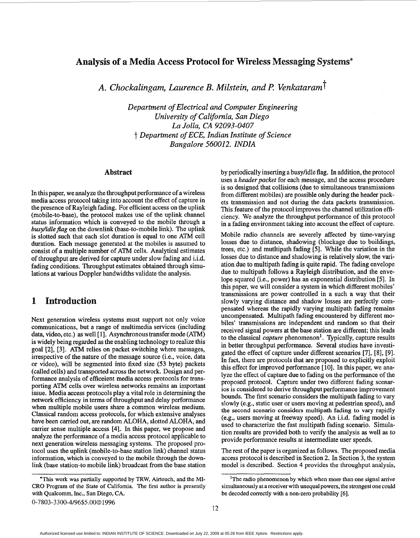# <span id="page-0-0"></span>Analysis of a Media Access Protocol for Wireless Messaging Systems\*

*A. Chockdingam, Laurence B. Milstein, and F! Venkatarum* t

*Department of Electrical and Computer Engineering University of Califomia, San Diego La Jolla,* **CA** *92093-0407*  t *Department of ECE, Indian Institute of Science Bangalore 56001 2. INDIA* 

#### **Abstract**

In this paper, we analyze the throughput performance of a wireless media access protocol taking into account the effect of capture in the presence of Rayleigh fading. For efficient access on the uplink (mobile-to-base), the protocol makes use of the uplink channel status information which is conveyed to the mobile through a *busy/idle flag* on the downlink (base-to-mobile link). The uplink is slotted such that each slot duration **is** equal to one ATM cell duration. Each message generated at the mobiles is assumed to consist of a multiple number of ATM cells. Analytical estimates of throughput are derived for capture under slow fading and i.i.d. fading conditions. Throughput estimates obtained through simulations at various Doppler bandwidths validate the analysis.

#### 1 **Introduction**

Next generation wireless systems must support not only voice communications, but a range of multimedia services (including data, video, etc.) as well [1]. Asynchronous transfer mode (ATM) is widely being regarded **as** the enabling technology to realize this goal *[2],* [3]. ATM relies on packet switching where messages, irrespective of the nature of the message source (i.e., voice, data or video), will be segmented into fixed size (53 byte) packets (called cells) and transported across the network. Design and performance analysis of efficeient media access protocols for transporting ATM cells over wireless networks remains an important issue. Media access protocols play a vital role in determining the network efficiency in terms of throughput and delay performance when multiple mobile users share a common wireless medium. Classical random access protocols, for which extensive analyses have been carried out, are random ALOHA, slotted ALOHA, and carrier sense multiple access **[4].** In this paper, we propose and analyze the performance of a media access protocol applicable to next generation wireless messaging systems. The proposed protocol uses the uplink (mobile-to-base station link) channel status information, which is conveyed to the mobile through the downlink (base station-to mobile link) broadcast from the base station

\*This work was partially supported by TRW, Airtouch, and the MI-CRO Program **of** the State of Califomia. The first author is presently with Qualcomm, Inc., San Diego, CA.

0-7803-3300-4/96\$5.00©1996

by periodically inserting a busylidle flag. In addition, the protocol uses a *header packet* for each message, and the access procedure **is** so designed that collisions (due to simultaneous transmissions from different mobiles) are possible only during the header packets transmission and not during the data packets transmission. This feature of the protocol improves the channel utilization efficiency. We analyze the throughput performance of this protocol in a fading environment taking into account the effect of capture.

Mobile radio channels are severely affected by time-varying losses due to distance, shadowing (blockage due to buildings, trees, etc.) and mutltipath fading *[5].* hile the variation in the losses due to distance and shadowing is relatively slow, the variation due to multipath fading **is** quite rapid. The fading envelope due to multipath follows a Rayleigh distribution, and the envelope squared (i.e., power) has an exponential distribution *[5].* In this paper, we will consider a system in which different mobiles' transmissions are power controlled in a such a way that their slowly varying distance and shadow losses are perfectly compensated whereas the rapidly varying multipath fading remains uncompensated. Multipath fading encountered by different mobiles' transmissions are independent and random so that their received signal powers at the base station are different; this leads to the classical *capture* phenomenon'. Typically, capture results in better throughput performance. Several studies have investigated the effect of capture under different scenarios [7], **[8],** *[9].*  In fact, there are protocols that are proposed to explicitly exploit this effect for improved performance [lo]. In this paper, we analyze the effect of capture due to fading on the performance of the proposed protocol. Capture under two different fading scenarios is considered to derive throughput performance improvement bounds. The first scenario considers the multipath fading to vary slowly (e.g., static user or users moving at pedestrian speed), and the second scenario considers multipath fading to **vary** rapidly (e.g., users moving at freeway speed). An i.i.d. fading model **is**  used to characterize the fast multipath fading scenario. Simulation results are provided both to verify the analysis **as** well **as** to provide performance results at intermediate user speeds.

The rest of the paper is organized **as** follows. The proposed media access protocol **is** described in Section **2.** In Section **3,** the system model is described. Section **4** provides the throughput analysis,

<sup>&</sup>lt;sup>1</sup>The radio phenomenon by which when more than one signal arrive simultaneously at a receiver with unequal powers, the strongest one could be decoded correctly with a non-zero probability *[6].*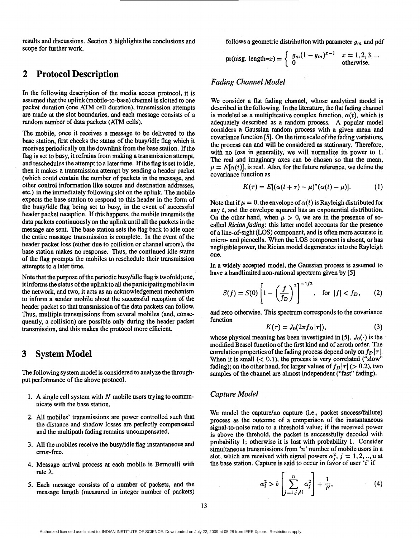results and discussions. Section *5* highlights the conclusions and scope for further work.

# **2 Protocol Description**

In the following description of the media access protocol, it is assumed that the uplink(mobi1e-to-base) channel is slotted to one packet duration (one ATM cell duration), transmission attempts are made at the slot boundaries, and each message consists of a random number of data packets (ATM cells).

The mobile, once it receives a message to be delivered to the base station, first checks the status of the busylidle flag which it receives periodically on the downlink from the base station. If the flag is set to busy, it refrains from making a transmission attempt, and reschedules the attempt to a later time. If the flag is set to idle, then it makes a transmission attempt by sending a header packet (which could contain the number of packets in the message, and other control information like source and destination addresses, etc.) in the immediately following slot on the uplink. The mobile expects the base station to respond to this header in the form of the busyhdle flag being set to busy, in the event of successful header packet reception. If this happens, the mobile transmits the data packets continuously on the uplink until all the packets in the message are sent. The base station sets the flag back to idle once the entire massage transmission is complete. In the event of the header packet loss (either due to collision or channel errors), the base station makes no response. Thus, the continued idle status of the flag prompts the mobiles to reschedule their transmission attempts to a later time.

Note that the purpose of the periodic busy/idle flag is twofold; one, it informs the status of the uplink to all the participating mobiles in the network, and two, it acts **as** an acknowledgement mechanism to inform a sender mobile about the successful reception of the header packet so that transmission of the data packets can follow. Thus, multiple transmissions from several mobiles (and, consequently, a collision) are possible only during the header packet transmission, and this makes the protocol more efficient.

# **3 System Model**

The following system model is considered to analyze the throughput performance of the above protocol.

- 1. **A** single cell system with *N* mobile users trying to communicate with the base station.
- **2.** All mobiles' transmissions are power controlled such that the distance and shadow losses are perfectly compensated and the multipath fading remains uncompensated.
- 3. All the mobiles receive the busyhdle flag instantaneous and error-free.
- **4.** Message arrival process at each mobile is Bernoulli with rate  $\lambda$ .
- *5.* Each message consists of a number **of** packets, and the message length (measured in integer number of packets)

follows a geometric distribution with parameter  $g_m$  and pdf

pr(msg. length=x) = 
$$
\begin{cases} g_m(1-g_m)^{x-1} & x=1,2,3, ... \\ 0 & \text{otherwise.} \end{cases}
$$

## *Fading Channel Model*

We consider a flat fading channel, whose analytical model is described in the following. In the literature, the flat fading channel is modeled as a multiplicative complex function,  $\alpha(t)$ , which is adequately described **as** a random process. A popular model considers a Gaussian random process with a given mean and covariance function *[5].* On the time scale of the fading variations, the process can and will be considered **as** stationary. Therefore, with no loss in generality, we will normalize its power to 1. The real and imaginary axes can be chosen so that the mean,  $p = E[\alpha(t)]$ , is real. Also, for the future reference, we define the covariance function **as** 

$$
K(\tau) = E[(\alpha(t+\tau) - \mu)^*(\alpha(t) - \mu)].
$$
 (1)

Note that if  $\mu = 0$ , the envelope of  $\alpha(t)$  is Rayleigh distributed for any t, and the envelope squared has an exponential distribution. On the other hand, when  $\mu > 0$ , we are in the presence of socalled *Rician fading*: this latter model accounts for the presence of a line-of-sight (LOS) component, and is often more accurate in micro- and picocells. When the LOS component is absent, or has negligible power, the Rician model degenerates into the Rayleigh one.

In a widely accepted model, the Gaussian process is assumed to have a bandlimited non-rational spectrum given by *[5]* 

$$
S(f) = S(0) \left[ 1 - \left(\frac{f}{f_D}\right)^2 \right]^{-1/2}, \text{ for } |f| < f_D, \qquad (2)
$$

and zero otherwise. This spectrum corresponds to the covariance function

$$
K(\tau) = J_0(2\pi f_D|\tau|),\tag{3}
$$

whose physical meaning has been investigated in [5].  $J_0(\cdot)$  is the modified Bessel function of the first kind and of zeroth order. The correlation properties of the fading process depend only on  $f<sub>D</sub> |\tau|$ . When it is small  $( $0.1$ ), the process is very correlated ("slow"$ fading); on the other hand, for larger values of  $f<sub>D</sub> |\tau|$  ( $> 0.2$ ), two samples of the channel are almost independent ("fast" fading).

### *Capture Model*

We model the capture/no capture (i.e., packet success/failure) process as the outcome of a comparison of the instantaneous signal-to-noise ratio to a threshold value; if the received power is above the threhold, the packet is successfully decoded with probability **1;** otherwise it is lost with probability 1. Consider simultaneous transmissions from *'n'* number of mobile users in a slot, which are received with signal powers  $\alpha_j^2$ ,  $j = 1, 2, ..., n$  at the base station. Capture is said to occur in favor of user *'i'* if

$$
x_i^2 > b \left[ \sum_{j=1, j \neq i}^n \alpha_j^2 \right] + \frac{1}{F}, \tag{4}
$$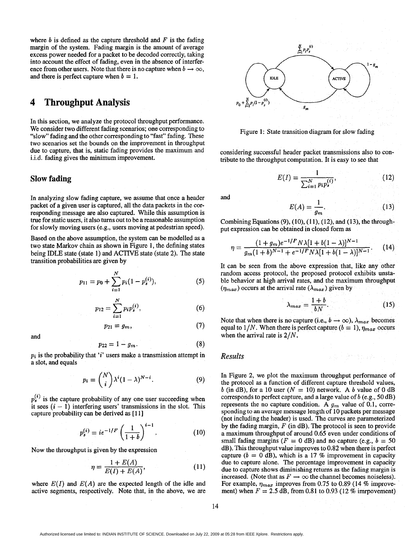where  $b$  is defined as the capture threshold and  $F$  is the fading margin of the system. Fading margin is the amount of average excess power needed for a packet to be decoded correctly, taking into account the effect of fading, even in the absence of interference from other users. Note that there is no capture when  $b \to \infty$ , and there is perfect capture when  $b = 1$ .

# **4 Throughput Analysis**

In this section, we analyze the protocol throughput performance. We consider two different fading scenarios; one corresponding to "slow" fading and the other corresponding to "fast" fading. These two scenarios set the bounds on the improvement in throughput due to capture, that is, static fading provides the maximum and i.i.d. fading gives the minimum improvement.

### **Slow fading**

and

In analyzing slow fading capture, we assume that once a header packet of a given user is captured, all the data packets in the corresponding message are also captured. While this assumption is true for static users, it also turns out to be a reasonable assumption for slowly moving users (e.g., users moving at pedestrian speed).

Based on the above assumption, the system can be modelled **as** a two state Markov chain **as** shown in Figure 1, the defining states being **IDLE** state (state 1) and ACTIVE state (state 2). The state transition probabilities are given by

$$
p_{11} = p_0 + \sum_{i=1}^{N} p_i (1 - p_s^{(i)}),
$$
 (5)

$$
p_{12} = \sum_{i=1}^{N} p_i p_s^{(i)},
$$
 (6)

$$
p_{21}=g_m,\t\t(7)
$$

 $p_{22} = 1 - g_m$ .

 $p_i$  is the probability that 'i' users make a transmission attempt in a slot, and equals

$$
p_i = \binom{N}{i} \lambda^i (1 - \lambda)^{N - i}.
$$
 (9)

 $p_s^{(1)}$  is the capture probability of any one user succeeding when it sees  $(i - 1)$  interfering users' transmissions in the slot. This capture probability can be derived **as** [ 113 *Probability of any one user s*<br> *erfering users'* transmissions<br> *p*(*i*) *i* and *p i*  $p_s^{(i)} = ie^{-1/F} \left(\frac{1}{1+b}\right)^{i-1}$ .

$$
p_s^{(i)} = ie^{-1/F} \left(\frac{1}{1+b}\right)^{i-1}.
$$
 (10)

Now the throughput is given by the expression  
\n
$$
\eta = \frac{1 + E(A)}{E(I) + E(A)},
$$
\n(11)

where  $E(I)$  and  $E(A)$  are the expected length of the idle and active segments, respectively. Note that, in the above, we are



Figure 1: State transition diagram for slow fading

considering successful header packet transmissions also to contribute to the throughput computation. It is easy to see that

$$
E(I) = \frac{1}{\sum_{i=1}^{N} p_i p_s^{(i)}},
$$
\n(12)

and

$$
E(A) = \frac{1}{g_m}.\tag{13}
$$

Combining Equations (9), (10), (11), (12), and (13), the throughput expression can be obtained in closed form **as** 

$$
\eta = \frac{(1+g_m)e^{-1/F}N\lambda[1+b(1-\lambda)]^{N-1}}{g_m(1+b)^{N-1}+e^{-1/F}N\lambda[1+b(1-\lambda)]^{N-1}}.
$$
 (14)

It can be seen from the above expression that, like any other random access protocol, the proposed protocol exhibits unstable behavior at high arrival rates, and the maximum throughput  $(\eta_{max})$  occurs at the arrival rate  $(\lambda_{max})$  given by

$$
\lambda_{max} = \frac{1+b}{bN}.
$$
 (15)

Note that when there is no capture (i.e.,  $b \rightarrow \infty$ ),  $\lambda_{max}$  becomes equal to  $1/N$ . When there is perfect capture ( $b = 1$ ),  $\eta_{max}$  occurs when the arrival rate is 2/N.

#### *Results*

(8)

In Figure 2, we plot the maximum throughput performance of the protocol **as** a function of different capture threshold values, b (in dB), for a 10 user ( $N = 10$ ) network. A b value of 0 dB corresponds to perfect capture, and a large value of  $b$  (e.g., 50 dB) represents the no capture condition. A  $g_m$  value of 0.1, corresponding to **an** average message length of 10 packets per message (not including the header) is used. The curves are parameterized by the fading margin,  $F$  (in dB). The protocol is seen to provide a maximum throughput of around *0.65* even under conditions of small fading margins ( $F = 0$  dB) and no capture (e.g.,  $b = 50$ dB). This throughput value improves to 0.82 when there is perfect capture ( $b = 0$  dB), which is a 17 % improvement in capacity due to capture alone. The percentage improvement in capacity due to capture shows diminishing returns **as** the fading margin is increased. (Note that as  $F \to \infty$  the channel becomes noiseless). For example,  $\eta_{max}$  improves from 0.75 to 0.89 (14 % improvement) when  $F = 2.5$  dB, from 0.81 to 0.93 (12 % imrpovement)

Authorized licensed use limited to: INDIAN INSTITUTE OF SCIENCE. Downloaded on July 22, 2009 at 05:28 from IEEE Xplore. Restrictions apply.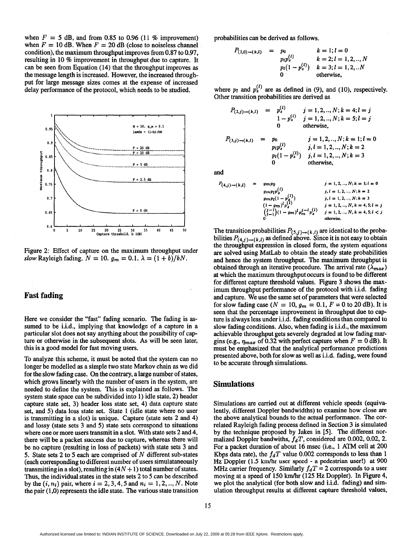<span id="page-3-0"></span>when  $F = 5$  dB, and from 0.85 to 0.96 (11 % improvement) when  $F = 10$  dB. When  $F = 20$  dB (close to noiseless channel condition), the maximum throughput improves from 0.87 to 0.97, resulting in 10 % improvement in throughput due to capture. It can be seen from Equation **(14)** that the throughput improves **as**  the message length is increased. However, the increased throughput for large message sizes comes at the expense of increased delay performance of the protocol, which needs to be studied.



Figure **2:** Effect of capture on the maximum throughput under *slow* Rayleigh fading.  $N = 10$ .  $g_m = 0.1$ .  $\lambda = (1 + b)/bN$ .

### **Fast fading**

Here we consider the "fast" fading scenario. The fading is **as**sumed to be i.i.d., implying that knowledge of a capture in a particular slot does not say anything about the possibility of capture or otherwise in the subsequent slots. As will be seen later, this is a good model for fast moving users.

To analyze this scheme, it must be noted that the system can no longer be modelled **as** a simple two state Markov chain **as** we did for the slow fading case. On the contrary, **a** large number of states, which grows linearly with the number of users in the system, are needed to define the system. This is explained **as** follows. The system state space can be subdivided into **1)** idle state, **2)** header capture state set, **3)** header loss state set, **4)** data capture state set, and *5)* data loss state set. State **1** (idle state where no user is transmitting in a slot) is unique. Capture (state sets **2** and **4)**  and lossy (state sets **3** and **5)** state sets correspond to situations where one or more users transmit in a slot. With state sets **2** and **4,**  there will be a packet success due to capture, whereas there will be no capture (resulting in loss of packets) with state sets **3** and **5.** State sets **2** to **5** each are comprised of *N* different sub-states (each corresponding to different number of users simulataneously transmitting in a slot), resulting in  $(4N + 1)$  total number of states. Thus, the individual states in the state sets **2** to **5** can be described by the  $(i, n_i)$  pair, where  $i = 2, 3, 4, 5$  and  $n_i = 1, 2, ..., N$ . Note the pair **(1,O)** represents the idle state. The various state transition probabilities can be derived **as** follows.

$$
P_{(1,0)\to(k,l)} = p_0
$$
  
\n
$$
p_1 p_s^{(l)}
$$
  
\n
$$
k = 1; l = 0
$$
  
\n
$$
k = 2; l = 1, 2, ..., N
$$
  
\n
$$
p_l(1 - p_s^{(l)})
$$
  
\n
$$
k = 3; l = 1, 2, ... N
$$
  
\n0 otherwise,

where  $p_l$  and  $p_s^{(l)}$  are as defined in (9), and (10), respectively. Other transition probabilities are derived **as** 

$$
P_{(2,j)\to(k,l)} = p_s^{(l)} \qquad j = 1, 2, ..., N; k = 4; l = j
$$
  
\n
$$
1 - p_s^{(l)} \qquad j = 1, 2, ..., N; k = 5; l = j
$$
  
\n0 otherwise,  
\n
$$
P_{(3,j)\to(k,l)} = p_0 \qquad j = 1, 2, ..., N; k = 1; l = 0
$$
  
\n
$$
p_l p_s^{(l)} \qquad j, l = 1, 2, ..., N; k = 2
$$
  
\n
$$
p_l (1 - p_s^{(l)}) \qquad j, l = 1, 2, ..., N; k = 3
$$
  
\n0 otherwise,

and

$$
P_{(4,j)\to(k,l)} = g_{m}p_{0} \qquad j = 1, 2, ..., N; k = 1; l = 0
$$
  
\n
$$
g_{m}p_{l}p_{s}^{(l)} \qquad j, l = 1, 2, ..., N; k = 2
$$
  
\n
$$
g_{m}p_{l}(1-p_{s}^{(l)}) \qquad j, l = 1, 2, ..., N; k = 3
$$
  
\n
$$
(1-g_{m})^{l}p_{s}^{(l)} \qquad j = 1, 2, ..., N; k = 4, 5; l = j
$$
  
\n
$$
{j-l \choose l-1}(1-g_{m})^{l}g_{m}^{j-l}p_{s}^{(l)} \qquad j = 1, 2, ..., N; k = 4, 5; l < j
$$
  
\n
$$
0
$$
 otherwise.

The transition probabilities  $P_{(5,j)\to(k,l)}$  are identical to the probabilities  $P_{(4,j)\to(k,l)}$  as defined above. Since it is not easy to obtain the throughput expression in closed form, the system equations are solved using MatLab to obtain the steady state probabilities and hence the system throughput. The maximum throughput is obtained through an iterative procedure. The arrival rate  $(\lambda_{max})$ at which the maximum throughput occurs is found to be different for different capture threshold values. Figure **3** shows the maximum throughput performance of the protocol with i.i.d. fading and capture. We use the same set of parameters that were selected for slow fading case ( $N = 10$ ,  $g_m = 0.1$ ,  $F = 0$  to 20 dB). It is seen that the percentage improvement in throughput due to capture is always less under i.i.d. fading conditions than compared to slow fading conditions. Also, when fading is i.i.d., the maximum achievable throughput gets severely degraded at low fading margins (e.g.,  $\eta_{max}$  of 0.32 with perfect capture when  $F = 0$  dB). It must be emphasized that the analytical performance predictions presented above, both for slow **as** well **as** i.i.d. fading, were found to be accurate through simulations.

#### **Simulations**

Simulations are carried out at different vehicle speeds (equivalently, different Doppler bandwidths) to examine how close are the above analytical bounds to the actual performance. The correlated Rayleigh fading process defined in Section **3** is simulated by the technique proposed by Jakes in *[5].* The different normalized Doppler bandwiths,  $f_dT$ , considered are 0.002, 0.02, 2. For a packet duration of about **16** msec (i.e., **1** ATM cell at 200 Kbps data rate), the  $f_dT$  value 0.002 corresponds to less than 1 **Hz** Doppler **(1.5 km/hr** user speed - a pedestrian user!) **at** 900 MHz carrier frequency. Similarly  $f_dT = 2$  corresponds to a user moving at a speed of **150** km/hr **(125** Hz Doppler). In Figure **4,**  we plot the analytical (for both slow and i.i.d. fading) and simulation throughput results at different capture threshold values,